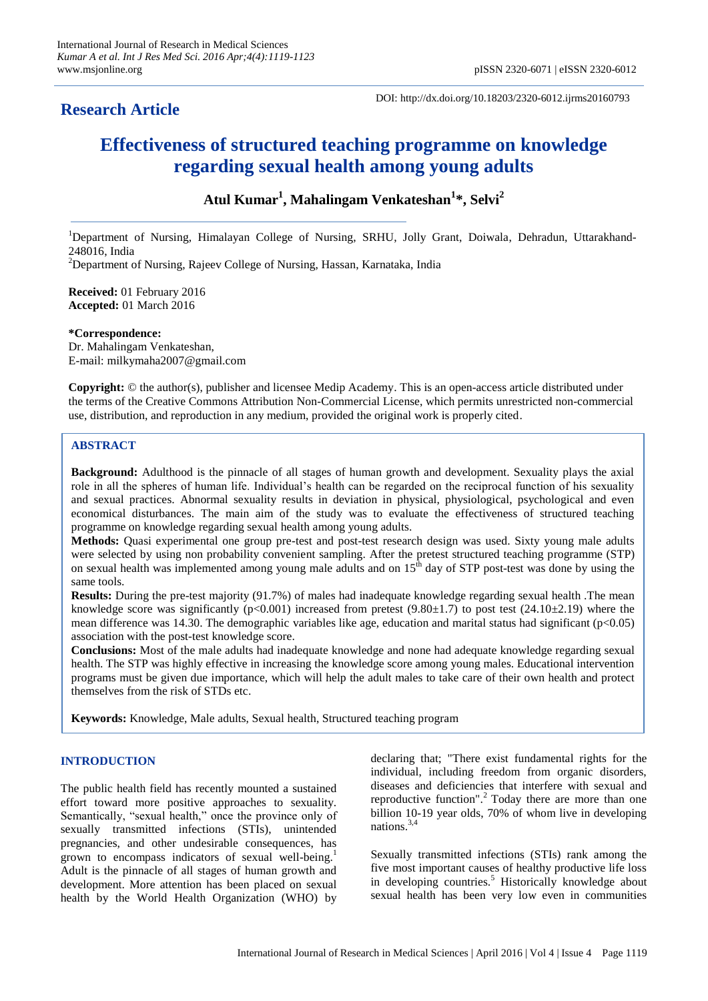# **Research Article**

DOI: http://dx.doi.org/10.18203/2320-6012.ijrms20160793

# **Effectiveness of structured teaching programme on knowledge regarding sexual health among young adults**

# **Atul Kumar<sup>1</sup> , Mahalingam Venkateshan<sup>1</sup> \*, Selvi<sup>2</sup>**

<sup>1</sup>Department of Nursing, Himalayan College of Nursing, SRHU, Jolly Grant, Doiwala, Dehradun, Uttarakhand-248016, India

 $2$ Department of Nursing, Rajeev College of Nursing, Hassan, Karnataka, India

**Received:** 01 February 2016 **Accepted:** 01 March 2016

#### **\*Correspondence:**

Dr. Mahalingam Venkateshan, E-mail: milkymaha2007@gmail.com

**Copyright:** © the author(s), publisher and licensee Medip Academy. This is an open-access article distributed under the terms of the Creative Commons Attribution Non-Commercial License, which permits unrestricted non-commercial use, distribution, and reproduction in any medium, provided the original work is properly cited.

## **ABSTRACT**

**Background:** Adulthood is the pinnacle of all stages of human growth and development. Sexuality plays the axial role in all the spheres of human life. Individual"s health can be regarded on the reciprocal function of his sexuality and sexual practices. Abnormal sexuality results in deviation in physical, physiological, psychological and even economical disturbances. The main aim of the study was to evaluate the effectiveness of structured teaching programme on knowledge regarding sexual health among young adults.

**Methods:** Quasi experimental one group pre-test and post-test research design was used. Sixty young male adults were selected by using non probability convenient sampling. After the pretest structured teaching programme (STP) on sexual health was implemented among young male adults and on  $15<sup>th</sup>$  day of STP post-test was done by using the same tools.

**Results:** During the pre-test majority (91.7%) of males had inadequate knowledge regarding sexual health .The mean knowledge score was significantly (p<0.001) increased from pretest (9.80 $\pm$ 1.7) to post test (24.10 $\pm$ 2.19) where the mean difference was 14.30. The demographic variables like age, education and marital status had significant  $(p<0.05)$ association with the post-test knowledge score.

**Conclusions:** Most of the male adults had inadequate knowledge and none had adequate knowledge regarding sexual health. The STP was highly effective in increasing the knowledge score among young males. Educational intervention programs must be given due importance, which will help the adult males to take care of their own health and protect themselves from the risk of STDs etc.

**Keywords:** Knowledge, Male adults, Sexual health, Structured teaching program

## **INTRODUCTION**

The public health field has recently mounted a sustained effort toward more positive approaches to sexuality. Semantically, "sexual health," once the province only of sexually transmitted infections (STIs), unintended pregnancies, and other undesirable consequences, has grown to encompass indicators of sexual well-being.<sup>1</sup> Adult is the pinnacle of all stages of human growth and development. More attention has been placed on sexual health by the World Health Organization (WHO) by declaring that; "There exist fundamental rights for the individual, including freedom from organic disorders, diseases and deficiencies that interfere with sexual and reproductive function".<sup>2</sup> Today there are more than one billion 10-19 year olds, 70% of whom live in developing nations.3,4

Sexually transmitted infections (STIs) rank among the five most important causes of healthy productive life loss in developing countries.<sup>5</sup> Historically knowledge about sexual health has been very low even in communities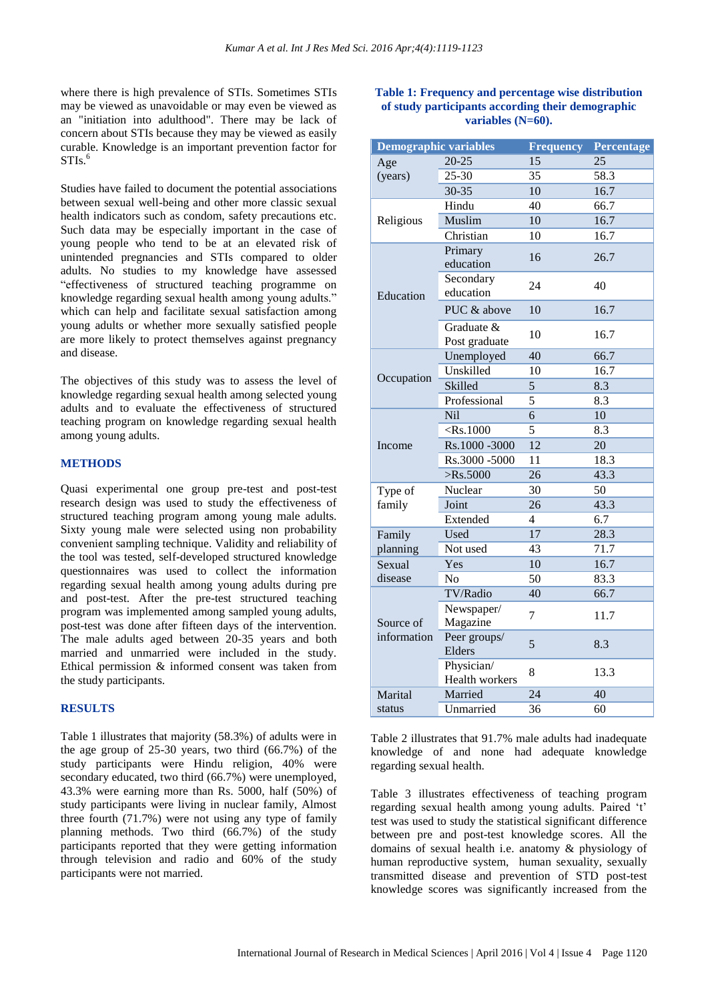where there is high prevalence of STIs. Sometimes STIs may be viewed as unavoidable or may even be viewed as an "initiation into adulthood". There may be lack of concern about STIs because they may be viewed as easily curable. Knowledge is an important prevention factor for  $STIs.<sup>6</sup>$ 

Studies have failed to document the potential associations between sexual well-being and other more classic sexual health indicators such as condom, safety precautions etc. Such data may be especially important in the case of young people who tend to be at an elevated risk of unintended pregnancies and STIs compared to older adults. No studies to my knowledge have assessed "effectiveness of structured teaching programme on knowledge regarding sexual health among young adults." which can help and facilitate sexual satisfaction among young adults or whether more sexually satisfied people are more likely to protect themselves against pregnancy and disease.

The objectives of this study was to assess the level of knowledge regarding sexual health among selected young adults and to evaluate the effectiveness of structured teaching program on knowledge regarding sexual health among young adults.

#### **METHODS**

Quasi experimental one group pre-test and post-test research design was used to study the effectiveness of structured teaching program among young male adults. Sixty young male were selected using non probability convenient sampling technique. Validity and reliability of the tool was tested, self-developed structured knowledge questionnaires was used to collect the information regarding sexual health among young adults during pre and post-test. After the pre-test structured teaching program was implemented among sampled young adults, post-test was done after fifteen days of the intervention. The male adults aged between 20-35 years and both married and unmarried were included in the study. Ethical permission & informed consent was taken from the study participants.

#### **RESULTS**

Table 1 illustrates that majority (58.3%) of adults were in the age group of 25-30 years, two third (66.7%) of the study participants were Hindu religion, 40% were secondary educated, two third (66.7%) were unemployed, 43.3% were earning more than Rs. 5000, half (50%) of study participants were living in nuclear family, Almost three fourth (71.7%) were not using any type of family planning methods. Two third (66.7%) of the study participants reported that they were getting information through television and radio and 60% of the study participants were not married.

## **Table 1: Frequency and percentage wise distribution of study participants according their demographic variables (N=60).**

| <b>Demographic variables</b> |                                   | <b>Frequency</b> | Percentage |  |  |
|------------------------------|-----------------------------------|------------------|------------|--|--|
| Age                          | $20 - 25$                         | 15               | 25         |  |  |
| (years)                      | 25-30                             | 35               | 58.3       |  |  |
|                              | 30-35                             | 10               | 16.7       |  |  |
|                              | Hindu                             | 40               | 66.7       |  |  |
| Religious                    | Muslim                            | 10               | 16.7       |  |  |
|                              | Christian                         | 10               | 16.7       |  |  |
|                              | Primary<br>education              | 16               | 26.7       |  |  |
| Education                    | Secondary<br>education            | 24               | 40         |  |  |
|                              | PUC & above                       | 10               | 16.7       |  |  |
|                              | Graduate &<br>10<br>Post graduate |                  | 16.7       |  |  |
|                              | Unemployed                        | 40               | 66.7       |  |  |
|                              | Unskilled                         | 10               | 16.7       |  |  |
| Occupation                   | Skilled                           | 5                | 8.3        |  |  |
|                              | Professional                      | 5                | 8.3        |  |  |
|                              | Nil                               | $\overline{6}$   | 10         |  |  |
|                              | $<$ Rs.1000                       | 5                | 8.3        |  |  |
| Income                       | Rs.1000 -3000                     | $\overline{12}$  | 20         |  |  |
|                              | Rs.3000 -5000                     | 11               | 18.3       |  |  |
|                              | $>$ Rs.5000                       | $\overline{26}$  | 43.3       |  |  |
| Type of                      | Nuclear                           | 30               | 50         |  |  |
| family                       | Joint                             | 26               | 43.3       |  |  |
|                              | Extended                          | $\overline{4}$   | 6.7        |  |  |
| Family                       | Used                              | 17               | 28.3       |  |  |
| planning                     | Not used                          | 43               | 71.7       |  |  |
| Sexual                       | Yes                               | 10               | 16.7       |  |  |
| disease                      | N <sub>o</sub>                    | 50               | 83.3       |  |  |
|                              | TV/Radio                          | 40               | 66.7       |  |  |
| Source of<br>information     | Newspaper/<br>Magazine            | $\overline{7}$   | 11.7       |  |  |
|                              | Peer groups/<br>Elders            | 5                | 8.3        |  |  |
|                              | Physician/<br>Health workers      | 8                | 13.3       |  |  |
| Marital                      | Married                           | 24               | 40         |  |  |
| status                       | Unmarried                         | 36               | 60         |  |  |

Table 2 illustrates that 91.7% male adults had inadequate knowledge of and none had adequate knowledge regarding sexual health.

Table 3 illustrates effectiveness of teaching program regarding sexual health among young adults. Paired "t" test was used to study the statistical significant difference between pre and post-test knowledge scores. All the domains of sexual health i.e. anatomy & physiology of human reproductive system, human sexuality, sexually transmitted disease and prevention of STD post-test knowledge scores was significantly increased from the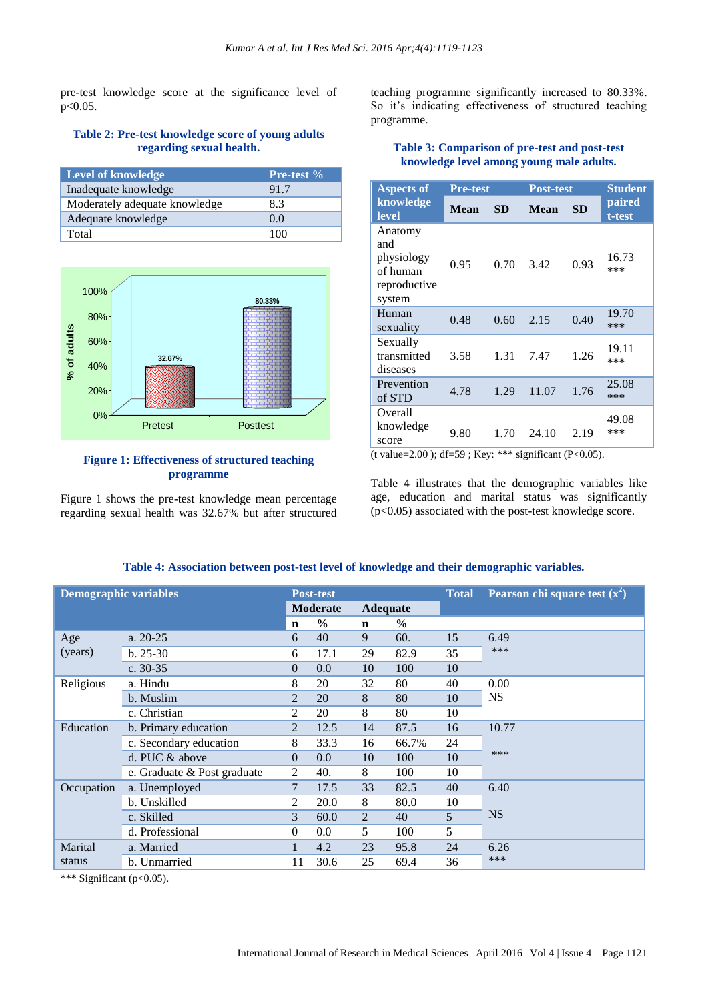pre-test knowledge score at the significance level of p<0.05.

#### **Table 2: Pre-test knowledge score of young adults regarding sexual health.**

| <b>Level of knowledge</b>     | Pre-test % |
|-------------------------------|------------|
| Inadequate knowledge          | 91.7       |
| Moderately adequate knowledge | 8.3        |
| Adequate knowledge            | 00         |
| Total                         | 100        |



#### **Figure 1: Effectiveness of structured teaching programme**

Figure 1 shows the pre-test knowledge mean percentage regarding sexual health was 32.67% but after structured teaching programme significantly increased to 80.33%. So it's indicating effectiveness of structured teaching programme.

## **Table 3: Comparison of pre-test and post-test knowledge level among young male adults.**

| <b>Aspects of</b>                                                  | <b>Pre-test</b> |           | <b>Post-test</b> |           | <b>Student</b>   |
|--------------------------------------------------------------------|-----------------|-----------|------------------|-----------|------------------|
| knowledge<br><b>level</b>                                          | <b>Mean</b>     | <b>SD</b> | Mean             | <b>SD</b> | paired<br>t-test |
| Anatomy<br>and<br>physiology<br>of human<br>reproductive<br>system | 0.95            | 0.70      | 3.42             | 0.93      | 16.73<br>***     |
| Human<br>sexuality                                                 | 0.48            | 0.60      | 2.15             | 0.40      | 19.70<br>***     |
| Sexually<br>transmitted<br>diseases                                | 3.58            | 1.31      | 7.47             | 1.26      | 19.11<br>***     |
| Prevention<br>of STD                                               | 4.78            | 1.29      | 11.07            | 1.76      | 25.08<br>***     |
| Overall<br>knowledge<br>score                                      | 9.80            | 1.70      | 24.10            | 2.19      | 49.08<br>$***$   |

(t value=2.00); df=59; Key: \*\*\* significant (P<0.05).

Table 4 illustrates that the demographic variables like age, education and marital status was significantly (p<0.05) associated with the post-test knowledge score.

| <b>Demographic variables</b> |                             | <b>Post-test</b> |                                    |             |               | <b>Total</b>   | Pearson chi square test $(x^2)$ |  |
|------------------------------|-----------------------------|------------------|------------------------------------|-------------|---------------|----------------|---------------------------------|--|
|                              |                             |                  | <b>Moderate</b><br><b>Adequate</b> |             |               |                |                                 |  |
|                              |                             | n                | $\frac{0}{0}$                      | $\mathbf n$ | $\frac{6}{6}$ |                |                                 |  |
| Age                          | a. $20-25$                  | 6                | 40                                 | 9           | 60.           | 15             | 6.49                            |  |
| (years)                      | $b. 25-30$                  | 6                | 17.1                               | 29          | 82.9          | 35             | ***                             |  |
|                              | c. $30-35$                  | $\overline{0}$   | 0.0                                | 10          | 100           | 10             |                                 |  |
| Religious                    | a. Hindu                    | 8                | 20                                 | 32          | 80            | 40             | 0.00<br><b>NS</b>               |  |
|                              | b. Muslim                   | $\overline{2}$   | 20                                 | 8           | 80            | 10             |                                 |  |
|                              | c. Christian                | 2                | 20                                 | 8           | 80            | 10             |                                 |  |
| Education                    | b. Primary education        | $\overline{2}$   | 12.5                               | 14          | 87.5          | 16             | 10.77                           |  |
|                              | c. Secondary education      | 8                | 33.3                               | 16          | 66.7%         | 24             |                                 |  |
|                              | d. PUC $&$ above            | $\overline{0}$   | 0.0                                | 10          | 100           | 10             | ***                             |  |
|                              | e. Graduate & Post graduate | $\overline{2}$   | 40.                                | 8           | 100           | 10             |                                 |  |
| Occupation                   | a. Unemployed               | 7                | 17.5                               | 33          | 82.5          | 40             | 6.40                            |  |
|                              | b. Unskilled                | $\overline{2}$   | 20.0                               | 8           | 80.0          | 10             | <b>NS</b>                       |  |
|                              | c. Skilled                  | 3                | 60.0                               | 2           | 40            | $\mathfrak{H}$ |                                 |  |
|                              | d. Professional             | $\Omega$         | 0.0                                | 5           | 100           | 5              |                                 |  |
| Marital                      | a. Married                  | 1                | 4.2                                | 23          | 95.8          | 24             | 6.26                            |  |
| status                       | b. Unmarried                | 11               | 30.6                               | 25          | 69.4          | 36             | ***                             |  |

## **Table 4: Association between post-test level of knowledge and their demographic variables.**

\*\*\* Significant (p<0.05).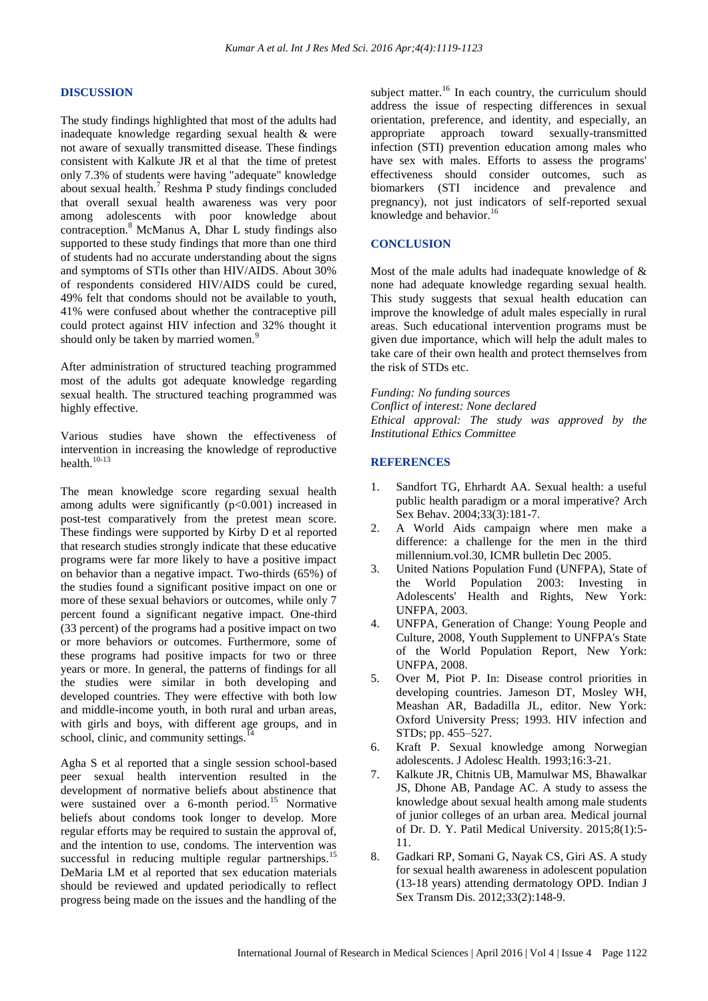#### **DISCUSSION**

The study findings highlighted that most of the adults had inadequate knowledge regarding sexual health & were not aware of sexually transmitted disease. These findings consistent with Kalkute JR et al that the time of pretest only 7.3% of students were having "adequate" knowledge about sexual health.<sup>7</sup> Reshma P study findings concluded that overall sexual health awareness was very poor among adolescents with poor knowledge about contraception.<sup>8</sup> McManus A, Dhar L study findings also supported to these study findings that more than one third of students had no accurate understanding about the signs and symptoms of STIs other than HIV/AIDS. About 30% of respondents considered HIV/AIDS could be cured, 49% felt that condoms should not be available to youth, 41% were confused about whether the contraceptive pill could protect against HIV infection and 32% thought it should only be taken by married women.<sup>9</sup>

After administration of structured teaching programmed most of the adults got adequate knowledge regarding sexual health. The structured teaching programmed was highly effective.

Various studies have shown the effectiveness of intervention in increasing the knowledge of reproductive health. $10-13$ 

The mean knowledge score regarding sexual health among adults were significantly  $(p<0.001)$  increased in post-test comparatively from the pretest mean score. These findings were supported by Kirby D et al reported that research studies strongly indicate that these educative programs were far more likely to have a positive impact on behavior than a negative impact. Two-thirds (65%) of the studies found a significant positive impact on one or more of these sexual behaviors or outcomes, while only 7 percent found a significant negative impact. One-third (33 percent) of the programs had a positive impact on two or more behaviors or outcomes. Furthermore, some of these programs had positive impacts for two or three years or more. In general, the patterns of findings for all the studies were similar in both developing and developed countries. They were effective with both low and middle-income youth, in both rural and urban areas, with girls and boys, with different age groups, and in school, clinic, and community settings. $^{14}$ 

Agha S et al reported that a single session school-based peer sexual health intervention resulted in the development of normative beliefs about abstinence that were sustained over a 6-month period.<sup>15</sup> Normative beliefs about condoms took longer to develop. More regular efforts may be required to sustain the approval of, and the intention to use, condoms. The intervention was successful in reducing multiple regular partnerships.<sup>15</sup> DeMaria LM et al reported that sex education materials should be reviewed and updated periodically to reflect progress being made on the issues and the handling of the

subject matter.<sup>16</sup> In each country, the curriculum should address the issue of respecting differences in sexual orientation, preference, and identity, and especially, an appropriate approach toward sexually-transmitted infection (STI) prevention education among males who have sex with males. Efforts to assess the programs' effectiveness should consider outcomes, such as biomarkers (STI incidence and prevalence and pregnancy), not just indicators of self-reported sexual knowledge and behavior.<sup>16</sup>

## **CONCLUSION**

Most of the male adults had inadequate knowledge of & none had adequate knowledge regarding sexual health. This study suggests that sexual health education can improve the knowledge of adult males especially in rural areas. Such educational intervention programs must be given due importance, which will help the adult males to take care of their own health and protect themselves from the risk of STDs etc.

*Funding: No funding sources*

*Conflict of interest: None declared Ethical approval: The study was approved by the Institutional Ethics Committee*

#### **REFERENCES**

- 1. Sandfort TG, Ehrhardt AA. Sexual health: a useful public health paradigm or a moral imperative? Arch Sex Behav. 2004;33(3):181-7.
- 2. A World Aids campaign where men make a difference: a challenge for the men in the third millennium.vol.30, ICMR bulletin Dec 2005.
- 3. United Nations Population Fund (UNFPA), State of the World Population 2003: Investing in Adolescents' Health and Rights, New York: UNFPA, 2003.
- 4. UNFPA, Generation of Change: Young People and Culture, 2008, Youth Supplement to UNFPA's State of the World Population Report, New York: UNFPA, 2008.
- 5. Over M, Piot P. In: Disease control priorities in developing countries. Jameson DT, Mosley WH, Meashan AR, Badadilla JL, editor. New York: Oxford University Press; 1993. HIV infection and STDs; pp. 455–527.
- 6. Kraft P. Sexual knowledge among Norwegian adolescents. J Adolesc Health. 1993;16:3-21.
- 7. Kalkute JR, Chitnis UB, Mamulwar MS, Bhawalkar JS, Dhone AB, Pandage AC. A study to assess the knowledge about sexual health among male students of junior colleges of an urban area. Medical journal of Dr. D. Y. Patil Medical University. 2015;8(1):5- 11.
- 8. Gadkari RP, Somani G, Nayak CS, Giri AS. A study for sexual health awareness in adolescent population (13-18 years) attending dermatology OPD. Indian J Sex Transm Dis. 2012;33(2):148-9.